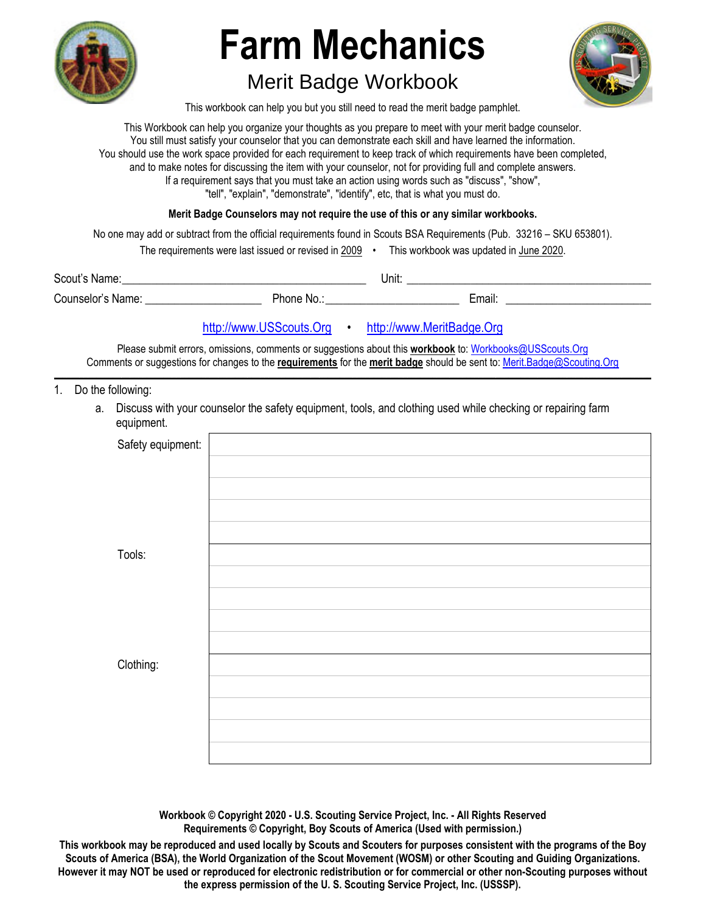

# **Farm Mechanics**

## Merit Badge Workbook



This workbook can help you but you still need to read the merit badge pamphlet.

This Workbook can help you organize your thoughts as you prepare to meet with your merit badge counselor. You still must satisfy your counselor that you can demonstrate each skill and have learned the information. You should use the work space provided for each requirement to keep track of which requirements have been completed, and to make notes for discussing the item with your counselor, not for providing full and complete answers. If a requirement says that you must take an action using words such as "discuss", "show", "tell", "explain", "demonstrate", "identify", etc, that is what you must do.

**Merit Badge Counselors may not require the use of this or any similar workbooks.**

No one may add or subtract from the official requirements found in Scouts BSA Requirements (Pub. 33216 – SKU 653801).

| The requirements were last issued or revised in 2009 |  | This workbook was updated in June 2020. |
|------------------------------------------------------|--|-----------------------------------------|
|------------------------------------------------------|--|-----------------------------------------|

| Scout's Name:     |          | Unit: |        |
|-------------------|----------|-------|--------|
| Counselor's Name: | Phone No |       | Email: |

## http://www.USScouts.Org • http://www.MeritBadge.Org

Please submit errors, omissions, comments or suggestions about this **workbook** to: Workbooks@USScouts.Org Comments or suggestions for changes to the **requirements** for the **merit badge** should be sent to: Merit.Badge@Scouting.Org *\_\_\_\_\_\_\_\_\_\_\_\_\_\_\_\_\_\_\_\_\_\_\_\_\_\_\_\_\_\_\_\_\_\_\_\_\_\_\_\_\_\_\_\_\_\_\_\_\_\_\_\_\_\_\_\_\_\_\_\_\_\_\_\_\_\_\_\_\_\_\_\_\_\_\_\_\_\_\_\_\_\_\_\_\_\_\_\_\_\_\_\_\_\_\_\_\_\_\_\_\_\_\_\_\_\_\_\_\_\_\_\_\_\_\_\_\_\_\_\_\_\_\_\_\_\_\_\_\_\_\_\_\_\_\_\_\_\_\_\_\_\_* 

1. Do the following:

 a. Discuss with your counselor the safety equipment, tools, and clothing used while checking or repairing farm equipment.

| Safety equipment: |  |
|-------------------|--|
|                   |  |
|                   |  |
|                   |  |
|                   |  |
| Tools:            |  |
|                   |  |
|                   |  |
|                   |  |
|                   |  |
| Clothing:         |  |
|                   |  |
|                   |  |
|                   |  |
|                   |  |

**Workbook © Copyright 2020 - U.S. Scouting Service Project, Inc. - All Rights Reserved Requirements © Copyright, Boy Scouts of America (Used with permission.)** 

**This workbook may be reproduced and used locally by Scouts and Scouters for purposes consistent with the programs of the Boy Scouts of America (BSA), the World Organization of the Scout Movement (WOSM) or other Scouting and Guiding Organizations. However it may NOT be used or reproduced for electronic redistribution or for commercial or other non-Scouting purposes without the express permission of the U. S. Scouting Service Project, Inc. (USSSP).**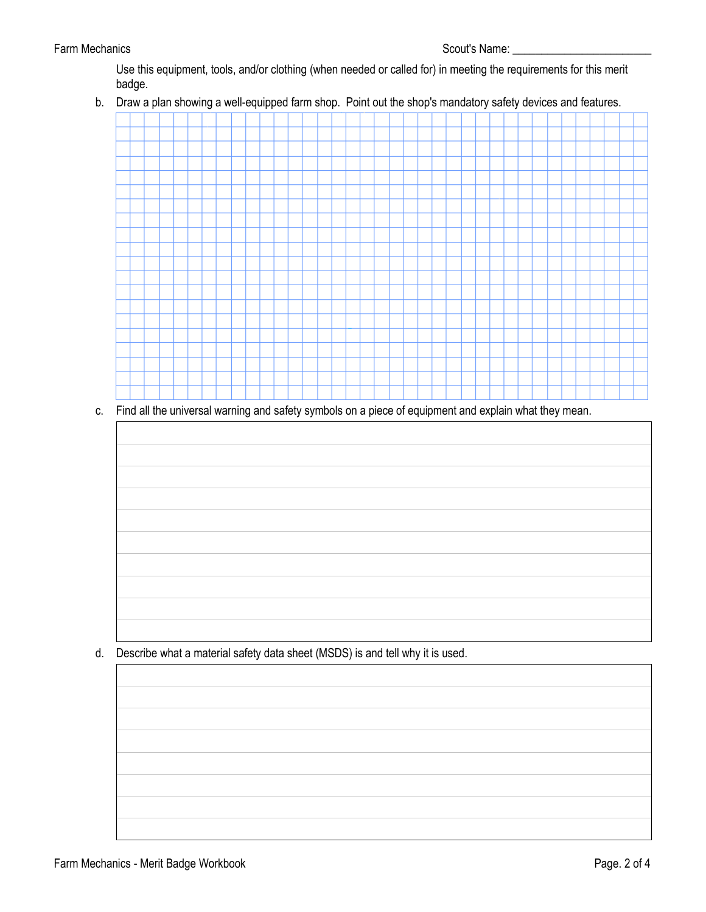## Farm Mechanics **Scout's Name:** Example 2014 12: Scout's Name: A series and Scout's Name: A series and Scout's Name: A series and Scout's Name: A series and Scout's Name: A series and Scout's Name: A series and Scout's Name

Use this equipment, tools, and/or clothing (when needed or called for) in meeting the requirements for this merit badge.

b. Draw a plan showing a well-equipped farm shop. Point out the shop's mandatory safety devices and features.

c. Find all the universal warning and safety symbols on a piece of equipment and explain what they mean.

d. Describe what a material safety data sheet (MSDS) is and tell why it is used.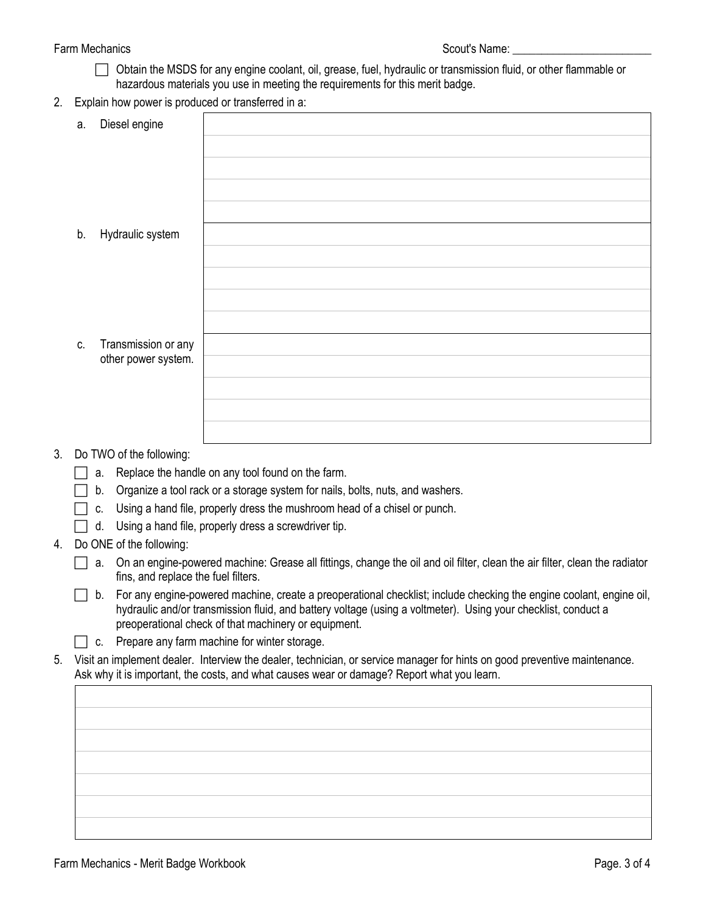## Farm Mechanics **Scout's Name:**  $\frac{1}{2}$  Scout's Name:  $\frac{1}{2}$  Scout's Name:

- Obtain the MSDS for any engine coolant, oil, grease, fuel, hydraulic or transmission fluid, or other flammable or hazardous materials you use in meeting the requirements for this merit badge.
- 2. Explain how power is produced or transferred in a:

| а. | Diesel engine            |                                                    |
|----|--------------------------|----------------------------------------------------|
|    |                          |                                                    |
|    |                          |                                                    |
|    |                          |                                                    |
|    |                          |                                                    |
| b. | Hydraulic system         |                                                    |
|    |                          |                                                    |
|    |                          |                                                    |
|    |                          |                                                    |
|    |                          |                                                    |
| C. | Transmission or any      |                                                    |
|    | other power system.      |                                                    |
|    |                          |                                                    |
|    |                          |                                                    |
|    |                          |                                                    |
|    | Do TWO of the following: |                                                    |
|    |                          | a Replace the bandle on any tool found on the farm |
|    |                          |                                                    |

## 3. Do TWO of the following:

- $\Box$  a. Replace the handle on any tool found on the farm.
- $\Box$  b. Organize a tool rack or a storage system for nails, bolts, nuts, and washers.
- $\Box$  c. Using a hand file, properly dress the mushroom head of a chisel or punch.
- $\Box$  d. Using a hand file, properly dress a screwdriver tip.
- 4. Do ONE of the following:

 $\Box$  a. On an engine-powered machine: Grease all fittings, change the oil and oil filter, clean the air filter, clean the radiator fins, and replace the fuel filters.

 $\Box$  b. For any engine-powered machine, create a preoperational checklist; include checking the engine coolant, engine oil, hydraulic and/or transmission fluid, and battery voltage (using a voltmeter). Using your checklist, conduct a preoperational check of that machinery or equipment.

 $\Box$  c. Prepare any farm machine for winter storage.

5. Visit an implement dealer. Interview the dealer, technician, or service manager for hints on good preventive maintenance. Ask why it is important, the costs, and what causes wear or damage? Report what you learn.